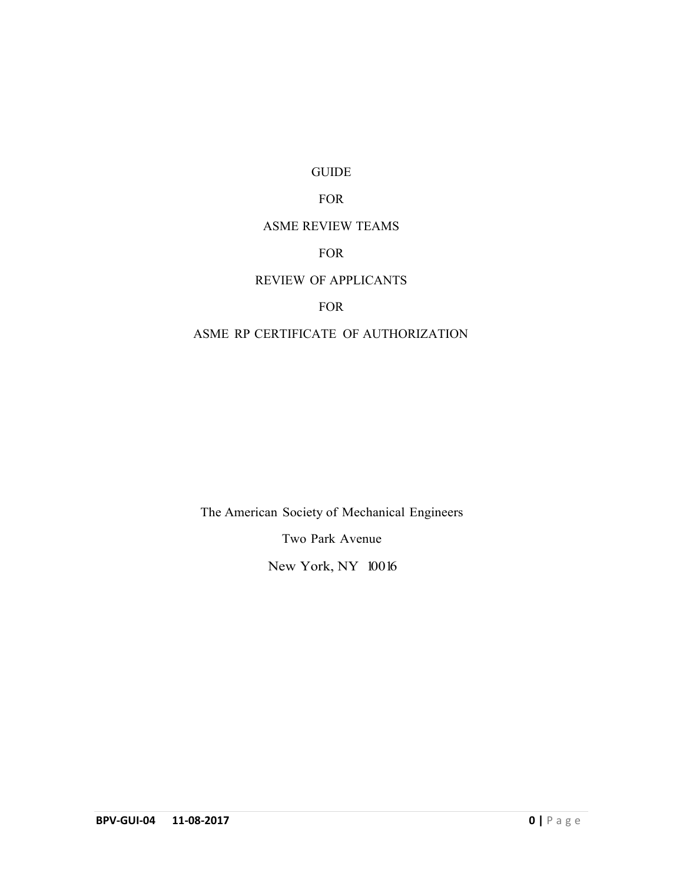#### GUIDE

# FOR

#### ASME REVIEW TEAMS

# FOR

# REVIEW OF APPLICANTS

# FOR

# ASME RP CERTIFICATE OF AUTHORIZATION

The American Society of Mechanical Engineers

Two Park Avenue

New York, NY 10016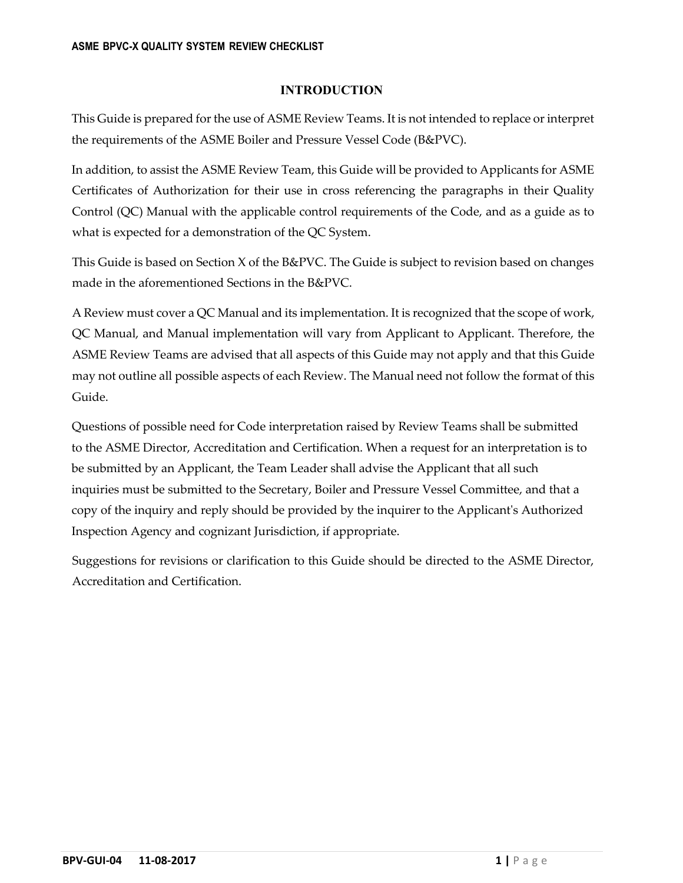# **INTRODUCTION**

This Guide is prepared for the use of ASME Review Teams. It is not intended to replace or interpret the requirements of the ASME Boiler and Pressure Vessel Code (B&PVC).

In addition, to assist the ASME Review Team, this Guide will be provided to Applicants for ASME Certificates of Authorization for their use in cross referencing the paragraphs in their Quality Control (QC) Manual with the applicable control requirements of the Code, and as a guide as to what is expected for a demonstration of the QC System.

This Guide is based on Section X of the B&PVC. The Guide is subject to revision based on changes made in the aforementioned Sections in the B&PVC.

A Review must cover a QC Manual and its implementation. It is recognized that the scope of work, QC Manual, and Manual implementation will vary from Applicant to Applicant. Therefore, the ASME Review Teams are advised that all aspects of this Guide may not apply and that this Guide may not outline all possible aspects of each Review. The Manual need not follow the format of this Guide.

Questions of possible need for Code interpretation raised by Review Teams shall be submitted to the ASME Director, Accreditation and Certification. When a request for an interpretation is to be submitted by an Applicant, the Team Leader shall advise the Applicant that all such inquiries must be submitted to the Secretary, Boiler and Pressure Vessel Committee, and that a copy of the inquiry and reply should be provided by the inquirer to the Applicantʹs Authorized Inspection Agency and cognizant Jurisdiction, if appropriate.

Suggestions for revisions or clarification to this Guide should be directed to the ASME Director, Accreditation and Certification.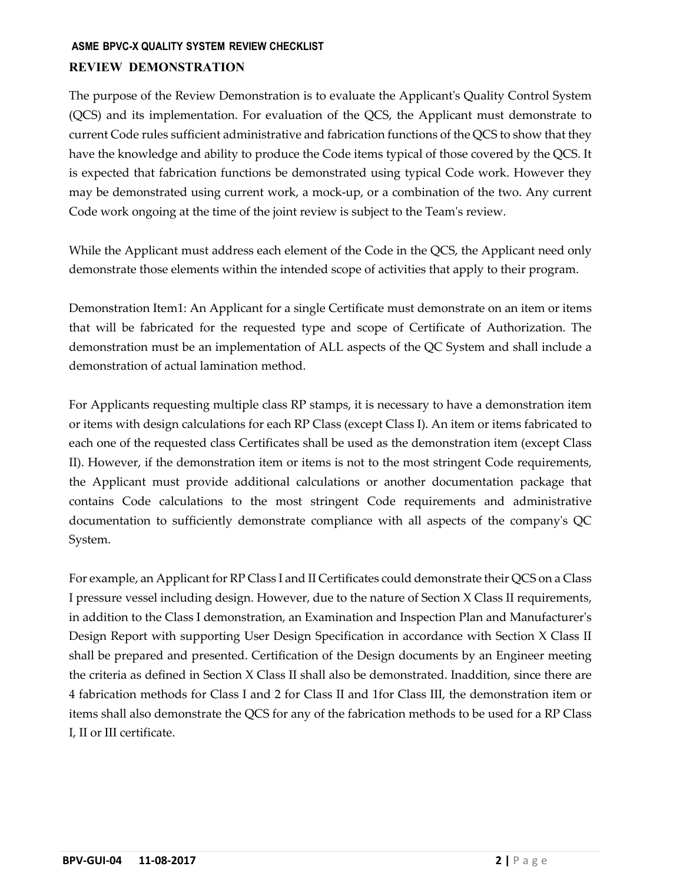# **ASME BPVC-X QUALITY SYSTEM REVIEW CHECKLIST REVIEW DEMONSTRATION**

The purpose of the Review Demonstration is to evaluate the Applicantʹs Quality Control System (QCS) and its implementation. For evaluation of the QCS, the Applicant must demonstrate to current Code rules sufficient administrative and fabrication functions of the QCS to show that they have the knowledge and ability to produce the Code items typical of those covered by the QCS. It is expected that fabrication functions be demonstrated using typical Code work. However they may be demonstrated using current work, a mock‐up, or a combination of the two. Any current Code work ongoing at the time of the joint review is subject to the Teamʹs review.

While the Applicant must address each element of the Code in the QCS, the Applicant need only demonstrate those elements within the intended scope of activities that apply to their program.

Demonstration Item1: An Applicant for a single Certificate must demonstrate on an item or items that will be fabricated for the requested type and scope of Certificate of Authorization. The demonstration must be an implementation of ALL aspects of the QC System and shall include a demonstration of actual lamination method.

For Applicants requesting multiple class RP stamps, it is necessary to have a demonstration item or items with design calculations for each RP Class (except Class I). An item or items fabricated to each one of the requested class Certificates shall be used as the demonstration item (except Class II). However, if the demonstration item or items is not to the most stringent Code requirements, the Applicant must provide additional calculations or another documentation package that contains Code calculations to the most stringent Code requirements and administrative documentation to sufficiently demonstrate compliance with all aspects of the companyʹs QC System.

For example, an Applicant for RP Class I and II Certificates could demonstrate their QCS on a Class I pressure vessel including design. However, due to the nature of Section X Class II requirements, in addition to the Class I demonstration, an Examination and Inspection Plan and Manufacturerʹs Design Report with supporting User Design Specification in accordance with Section X Class II shall be prepared and presented. Certification of the Design documents by an Engineer meeting the criteria as defined in Section X Class II shall also be demonstrated. Inaddition, since there are 4 fabrication methods for Class I and 2 for Class II and 1for Class III, the demonstration item or items shall also demonstrate the QCS for any of the fabrication methods to be used for a RP Class I, II or III certificate.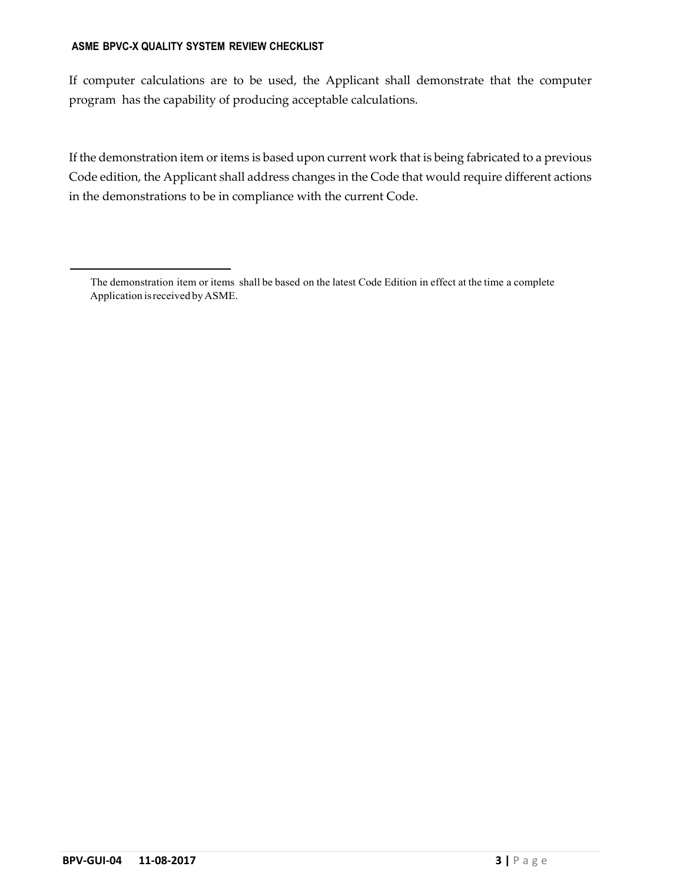If computer calculations are to be used, the Applicant shall demonstrate that the computer program has the capability of producing acceptable calculations.

If the demonstration item or items is based upon current work that is being fabricated to a previous Code edition, the Applicant shall address changes in the Code that would require different actions in the demonstrations to be in compliance with the current Code.

The demonstration item or items shall be based on the latest Code Edition in effect at the time a complete Application is received by ASME.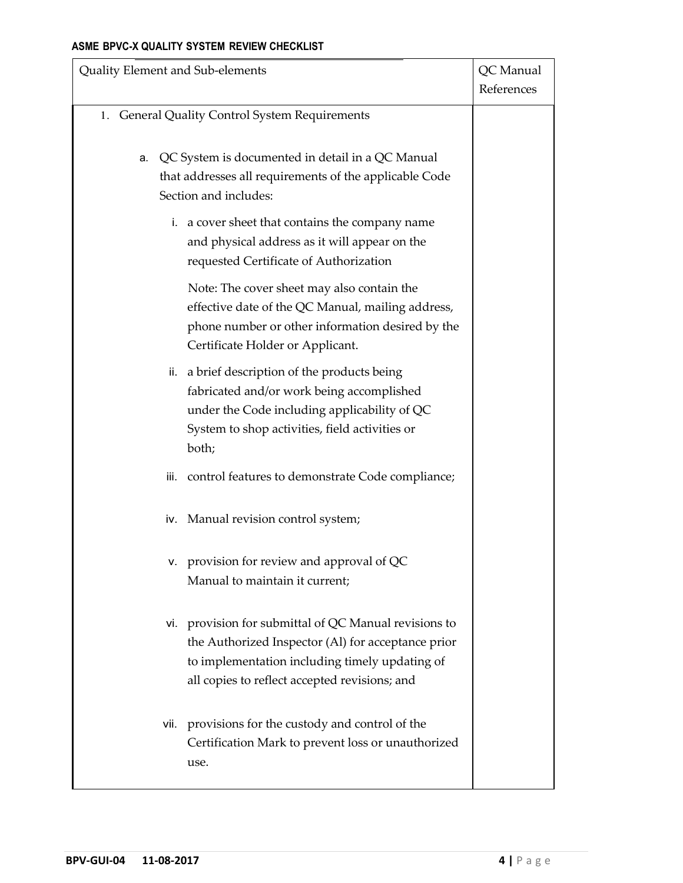| Quality Element and Sub-elements |                                                                                                                                                                                                                | QC Manual<br>References |
|----------------------------------|----------------------------------------------------------------------------------------------------------------------------------------------------------------------------------------------------------------|-------------------------|
|                                  | 1. General Quality Control System Requirements                                                                                                                                                                 |                         |
| a.                               | QC System is documented in detail in a QC Manual<br>that addresses all requirements of the applicable Code<br>Section and includes:                                                                            |                         |
|                                  | i. a cover sheet that contains the company name<br>and physical address as it will appear on the<br>requested Certificate of Authorization                                                                     |                         |
|                                  | Note: The cover sheet may also contain the<br>effective date of the QC Manual, mailing address,<br>phone number or other information desired by the<br>Certificate Holder or Applicant.                        |                         |
| ii.                              | a brief description of the products being<br>fabricated and/or work being accomplished<br>under the Code including applicability of QC<br>System to shop activities, field activities or<br>both;              |                         |
| iii.                             | control features to demonstrate Code compliance;                                                                                                                                                               |                         |
|                                  | iv. Manual revision control system;                                                                                                                                                                            |                         |
|                                  | v. provision for review and approval of QC<br>Manual to maintain it current;                                                                                                                                   |                         |
|                                  | vi. provision for submittal of QC Manual revisions to<br>the Authorized Inspector (Al) for acceptance prior<br>to implementation including timely updating of<br>all copies to reflect accepted revisions; and |                         |
|                                  | vii. provisions for the custody and control of the<br>Certification Mark to prevent loss or unauthorized<br>use.                                                                                               |                         |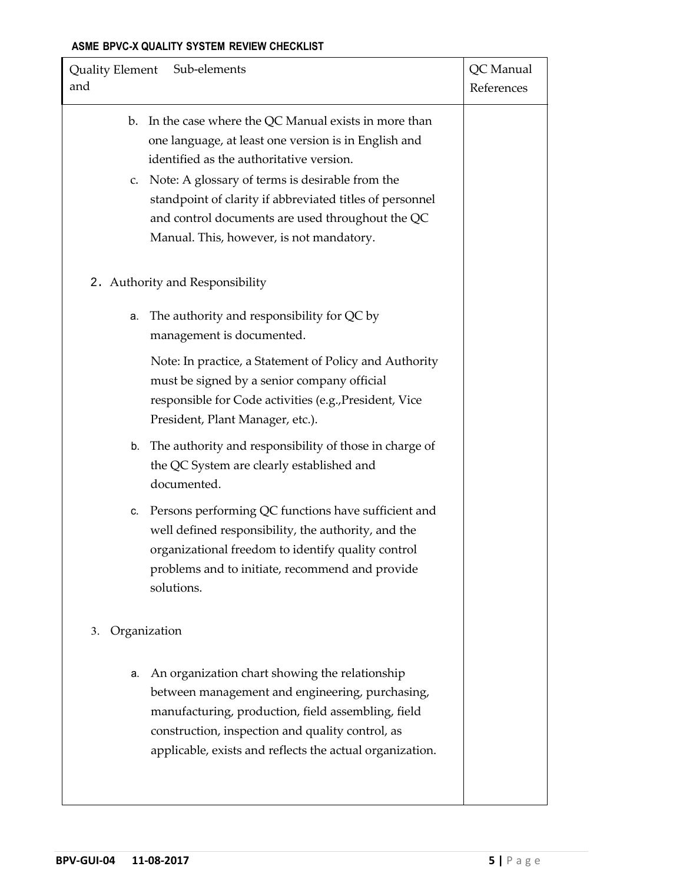| Quality Element Sub-elements<br>and                                                                                                                                                                                                                                                                                                                                          | QC Manual<br>References |
|------------------------------------------------------------------------------------------------------------------------------------------------------------------------------------------------------------------------------------------------------------------------------------------------------------------------------------------------------------------------------|-------------------------|
| b. In the case where the QC Manual exists in more than<br>one language, at least one version is in English and<br>identified as the authoritative version.<br>c. Note: A glossary of terms is desirable from the<br>standpoint of clarity if abbreviated titles of personnel<br>and control documents are used throughout the QC<br>Manual. This, however, is not mandatory. |                         |
| 2. Authority and Responsibility                                                                                                                                                                                                                                                                                                                                              |                         |
| The authority and responsibility for QC by<br>а.<br>management is documented.                                                                                                                                                                                                                                                                                                |                         |
| Note: In practice, a Statement of Policy and Authority<br>must be signed by a senior company official<br>responsible for Code activities (e.g., President, Vice<br>President, Plant Manager, etc.).                                                                                                                                                                          |                         |
| b. The authority and responsibility of those in charge of<br>the QC System are clearly established and<br>documented.                                                                                                                                                                                                                                                        |                         |
| c. Persons performing QC functions have sufficient and<br>well defined responsibility, the authority, and the<br>organizational freedom to identify quality control<br>problems and to initiate, recommend and provide<br>solutions.                                                                                                                                         |                         |
| Organization<br>3.                                                                                                                                                                                                                                                                                                                                                           |                         |
| An organization chart showing the relationship<br>а.<br>between management and engineering, purchasing,<br>manufacturing, production, field assembling, field<br>construction, inspection and quality control, as<br>applicable, exists and reflects the actual organization.                                                                                                |                         |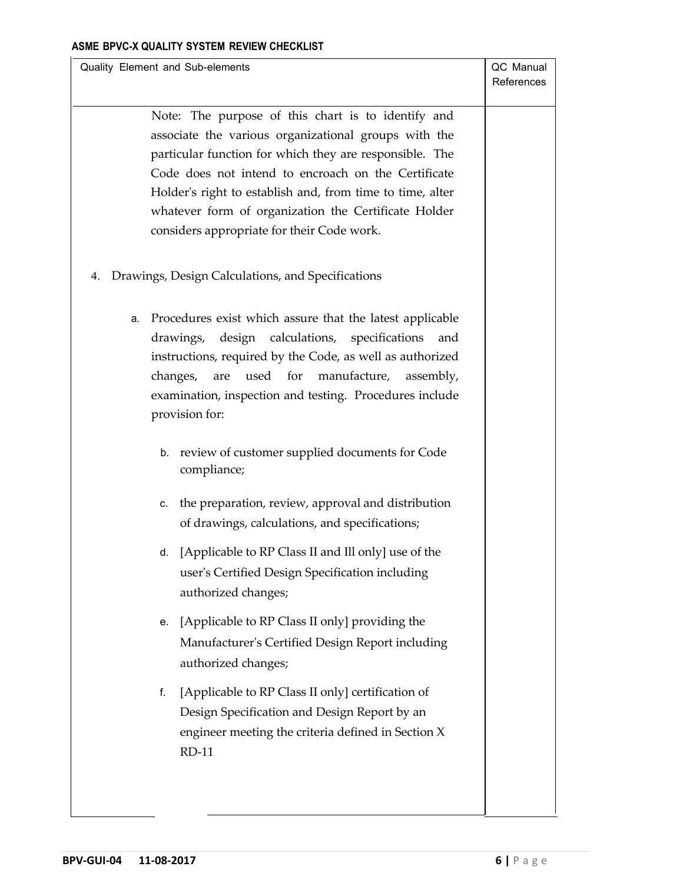| Quality Element and Sub-elements                            | QC Manual  |
|-------------------------------------------------------------|------------|
|                                                             | References |
|                                                             |            |
| Note: The purpose of this chart is to identify and          |            |
| associate the various organizational groups with the        |            |
| particular function for which they are responsible. The     |            |
| Code does not intend to encroach on the Certificate         |            |
| Holder's right to establish and, from time to time, alter   |            |
| whatever form of organization the Certificate Holder        |            |
| considers appropriate for their Code work.                  |            |
|                                                             |            |
|                                                             |            |
| 4. Drawings, Design Calculations, and Specifications        |            |
|                                                             |            |
| a. Procedures exist which assure that the latest applicable |            |
| drawings, design calculations, specifications<br>and        |            |
| instructions, required by the Code, as well as authorized   |            |
| changes, are<br>used for<br>manufacture, assembly,          |            |
| examination, inspection and testing. Procedures include     |            |
| provision for:                                              |            |
|                                                             |            |
| b. review of customer supplied documents for Code           |            |
| compliance;                                                 |            |
|                                                             |            |
| the preparation, review, approval and distribution<br>c.    |            |
| of drawings, calculations, and specifications;              |            |
|                                                             |            |
| [Applicable to RP Class II and Ill only] use of the<br>d.   |            |
| user's Certified Design Specification including             |            |
| authorized changes;                                         |            |
| [Applicable to RP Class II only] providing the<br>е.        |            |
| Manufacturer's Certified Design Report including            |            |
|                                                             |            |
| authorized changes;                                         |            |
| [Applicable to RP Class II only] certification of<br>f.     |            |
| Design Specification and Design Report by an                |            |
| engineer meeting the criteria defined in Section X          |            |
| <b>RD-11</b>                                                |            |
|                                                             |            |
|                                                             |            |
|                                                             |            |
|                                                             |            |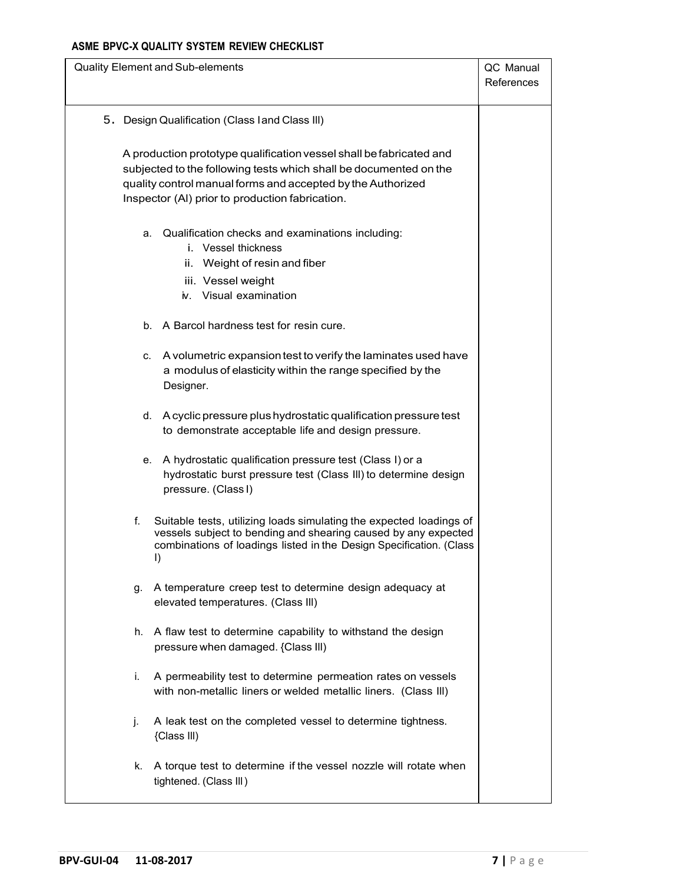| Quality Element and Sub-elements                                                                     |                                                                                                                                                                                                              | QC Manual<br>References |
|------------------------------------------------------------------------------------------------------|--------------------------------------------------------------------------------------------------------------------------------------------------------------------------------------------------------------|-------------------------|
| 5. Design Qualification (Class land Class III)                                                       |                                                                                                                                                                                                              |                         |
| Inspector (AI) prior to production fabrication.                                                      | A production prototype qualification vessel shall be fabricated and<br>subjected to the following tests which shall be documented on the<br>quality control manual forms and accepted by the Authorized      |                         |
| i. Vessel thickness<br>ii. Weight of resin and fiber<br>iii. Vessel weight<br>iv. Visual examination | a. Qualification checks and examinations including:                                                                                                                                                          |                         |
| b. A Barcol hardness test for resin cure.                                                            |                                                                                                                                                                                                              |                         |
| C.<br>Designer.                                                                                      | A volumetric expansion test to verify the laminates used have<br>a modulus of elasticity within the range specified by the                                                                                   |                         |
|                                                                                                      | d. A cyclic pressure plus hydrostatic qualification pressure test<br>to demonstrate acceptable life and design pressure.                                                                                     |                         |
| е.<br>pressure. (Class I)                                                                            | A hydrostatic qualification pressure test (Class I) or a<br>hydrostatic burst pressure test (Class III) to determine design                                                                                  |                         |
| f.<br>I)                                                                                             | Suitable tests, utilizing loads simulating the expected loadings of<br>vessels subject to bending and shearing caused by any expected<br>combinations of loadings listed in the Design Specification. (Class |                         |
| g.<br>elevated temperatures. (Class III)                                                             | A temperature creep test to determine design adequacy at                                                                                                                                                     |                         |
| h.<br>pressure when damaged. {Class III)                                                             | A flaw test to determine capability to withstand the design                                                                                                                                                  |                         |
| i.                                                                                                   | A permeability test to determine permeation rates on vessels<br>with non-metallic liners or welded metallic liners. (Class III)                                                                              |                         |
| j.<br>{Class III)                                                                                    | A leak test on the completed vessel to determine tightness.                                                                                                                                                  |                         |
| k.<br>tightened. (Class III)                                                                         | A torque test to determine if the vessel nozzle will rotate when                                                                                                                                             |                         |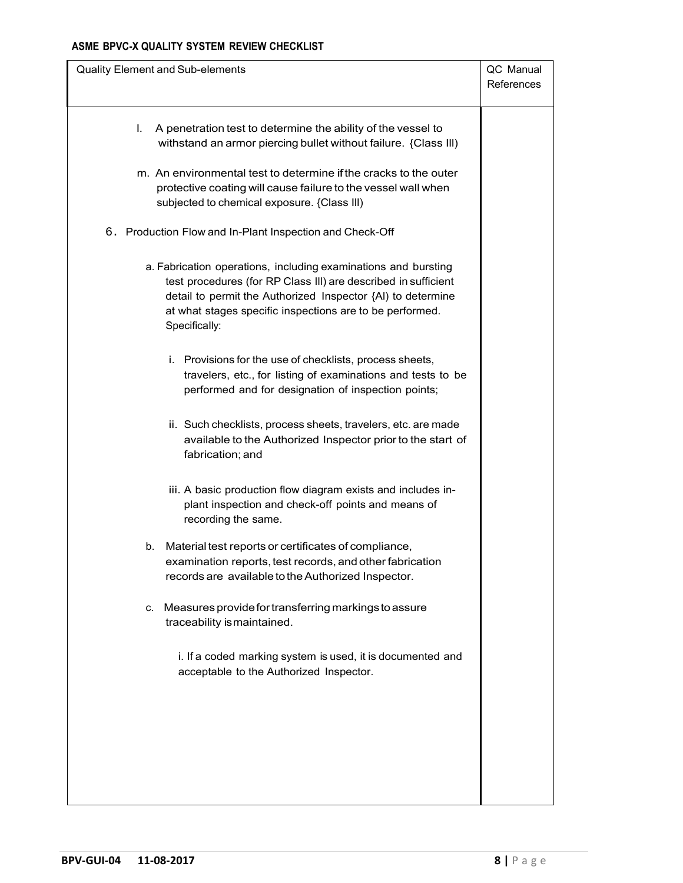| A penetration test to determine the ability of the vessel to<br>L.<br>withstand an armor piercing bullet without failure. {Class III)<br>m. An environmental test to determine if the cracks to the outer<br>protective coating will cause failure to the vessel wall when<br>subjected to chemical exposure. {Class III)<br>6. Production Flow and In-Plant Inspection and Check-Off<br>a. Fabrication operations, including examinations and bursting<br>test procedures (for RP Class III) are described in sufficient | QC Manual<br>References |
|---------------------------------------------------------------------------------------------------------------------------------------------------------------------------------------------------------------------------------------------------------------------------------------------------------------------------------------------------------------------------------------------------------------------------------------------------------------------------------------------------------------------------|-------------------------|
|                                                                                                                                                                                                                                                                                                                                                                                                                                                                                                                           |                         |
|                                                                                                                                                                                                                                                                                                                                                                                                                                                                                                                           |                         |
|                                                                                                                                                                                                                                                                                                                                                                                                                                                                                                                           |                         |
| detail to permit the Authorized Inspector {AI) to determine<br>at what stages specific inspections are to be performed.<br>Specifically:                                                                                                                                                                                                                                                                                                                                                                                  |                         |
| i. Provisions for the use of checklists, process sheets,<br>travelers, etc., for listing of examinations and tests to be<br>performed and for designation of inspection points;                                                                                                                                                                                                                                                                                                                                           |                         |
| ii. Such checklists, process sheets, travelers, etc. are made<br>available to the Authorized Inspector prior to the start of<br>fabrication; and                                                                                                                                                                                                                                                                                                                                                                          |                         |
| iii. A basic production flow diagram exists and includes in-<br>plant inspection and check-off points and means of<br>recording the same.                                                                                                                                                                                                                                                                                                                                                                                 |                         |
| Material test reports or certificates of compliance,<br>b.<br>examination reports, test records, and other fabrication<br>records are available to the Authorized Inspector.                                                                                                                                                                                                                                                                                                                                              |                         |
| Measures provide for transferring markings to assure<br>C.<br>traceability is maintained.                                                                                                                                                                                                                                                                                                                                                                                                                                 |                         |
| i. If a coded marking system is used, it is documented and<br>acceptable to the Authorized Inspector.                                                                                                                                                                                                                                                                                                                                                                                                                     |                         |
|                                                                                                                                                                                                                                                                                                                                                                                                                                                                                                                           |                         |
|                                                                                                                                                                                                                                                                                                                                                                                                                                                                                                                           |                         |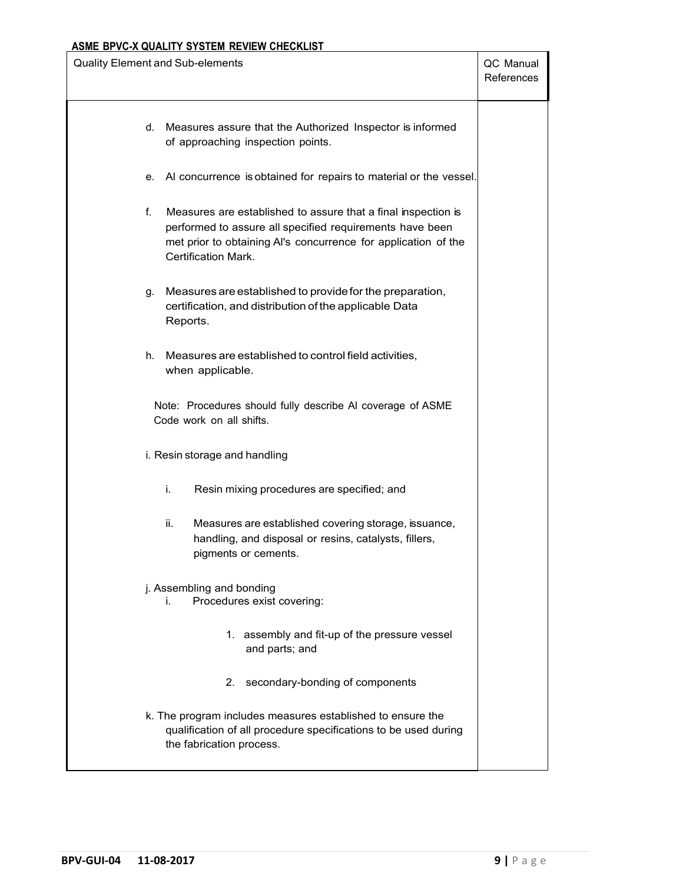| <b>Quality Element and Sub-elements</b>                                                                                                                                                                                  | QC Manual<br>References |
|--------------------------------------------------------------------------------------------------------------------------------------------------------------------------------------------------------------------------|-------------------------|
| d. Measures assure that the Authorized Inspector is informed<br>of approaching inspection points.                                                                                                                        |                         |
| e. Al concurrence is obtained for repairs to material or the vessel.                                                                                                                                                     |                         |
| f.<br>Measures are established to assure that a final inspection is<br>performed to assure all specified requirements have been<br>met prior to obtaining Al's concurrence for application of the<br>Certification Mark. |                         |
| Measures are established to provide for the preparation,<br>g.<br>certification, and distribution of the applicable Data<br>Reports.                                                                                     |                         |
| h.<br>Measures are established to control field activities.<br>when applicable.                                                                                                                                          |                         |
| Note: Procedures should fully describe AI coverage of ASME<br>Code work on all shifts.                                                                                                                                   |                         |
| i. Resin storage and handling                                                                                                                                                                                            |                         |
| Resin mixing procedures are specified; and<br>i.                                                                                                                                                                         |                         |
| Measures are established covering storage, issuance,<br>ii.<br>handling, and disposal or resins, catalysts, fillers,<br>pigments or cements.                                                                             |                         |
| j. Assembling and bonding<br>Procedures exist covering:<br>i.                                                                                                                                                            |                         |
| 1. assembly and fit-up of the pressure vessel<br>and parts; and                                                                                                                                                          |                         |
| 2. secondary-bonding of components                                                                                                                                                                                       |                         |
| k. The program includes measures established to ensure the<br>qualification of all procedure specifications to be used during<br>the fabrication process.                                                                |                         |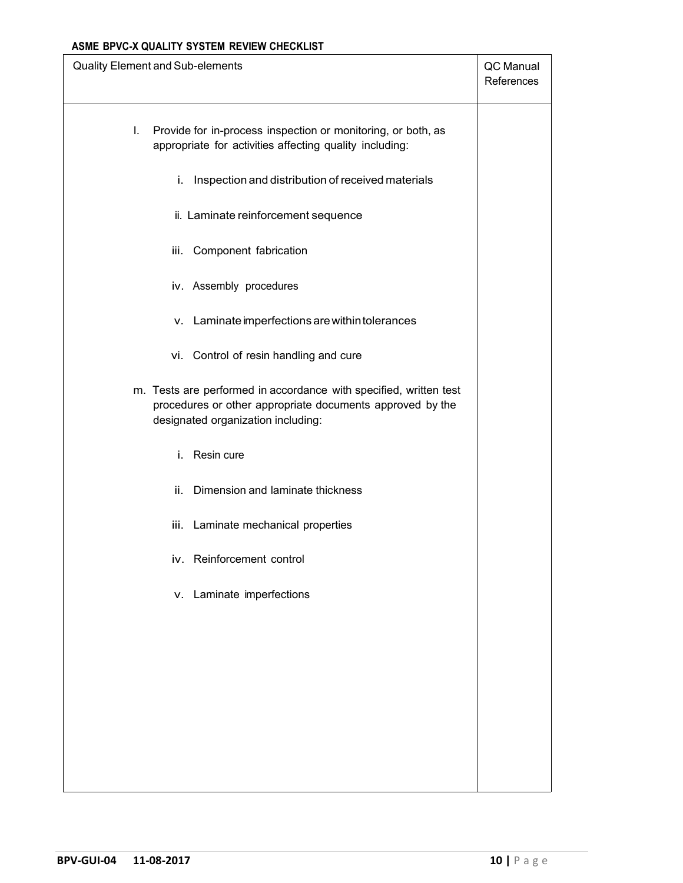| Quality Element and Sub-elements                                                                                                                                     | QC Manual<br>References |
|----------------------------------------------------------------------------------------------------------------------------------------------------------------------|-------------------------|
| I.<br>Provide for in-process inspection or monitoring, or both, as<br>appropriate for activities affecting quality including:                                        |                         |
| i. Inspection and distribution of received materials                                                                                                                 |                         |
| ii. Laminate reinforcement sequence                                                                                                                                  |                         |
| iii. Component fabrication                                                                                                                                           |                         |
| iv. Assembly procedures                                                                                                                                              |                         |
| v. Laminate imperfections are within tolerances                                                                                                                      |                         |
| vi. Control of resin handling and cure                                                                                                                               |                         |
| m. Tests are performed in accordance with specified, written test<br>procedures or other appropriate documents approved by the<br>designated organization including: |                         |
| Resin cure<br>i.                                                                                                                                                     |                         |
| ii. Dimension and laminate thickness                                                                                                                                 |                         |
| iii. Laminate mechanical properties                                                                                                                                  |                         |
| iv. Reinforcement control                                                                                                                                            |                         |
| v. Laminate imperfections                                                                                                                                            |                         |
|                                                                                                                                                                      |                         |
|                                                                                                                                                                      |                         |
|                                                                                                                                                                      |                         |
|                                                                                                                                                                      |                         |
|                                                                                                                                                                      |                         |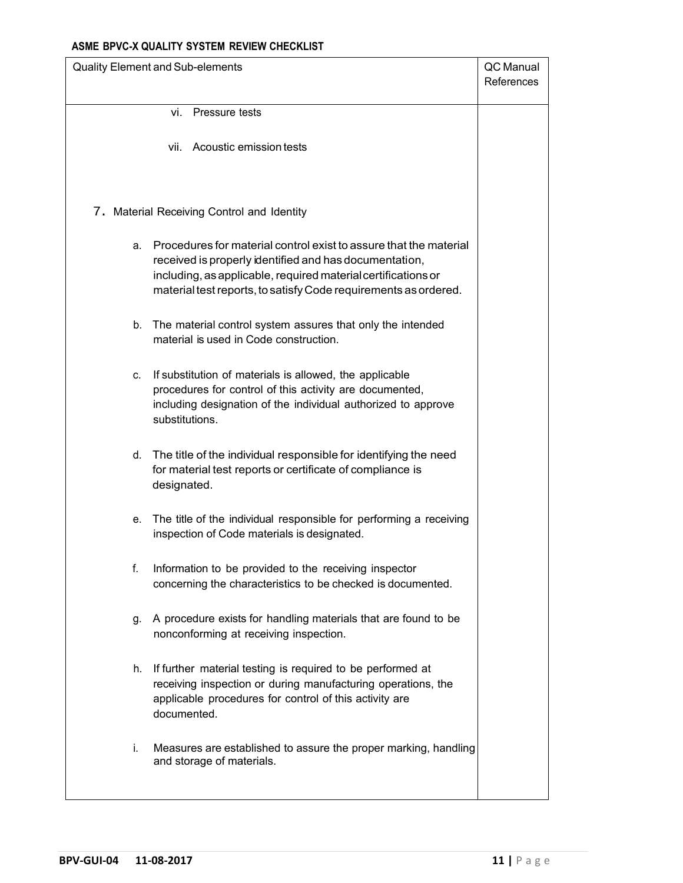| Quality Element and Sub-elements                                                                                                                                                                                                                                      | QC Manual<br>References |
|-----------------------------------------------------------------------------------------------------------------------------------------------------------------------------------------------------------------------------------------------------------------------|-------------------------|
| vi. Pressure tests                                                                                                                                                                                                                                                    |                         |
| vii. Acoustic emission tests                                                                                                                                                                                                                                          |                         |
| 7. Material Receiving Control and Identity                                                                                                                                                                                                                            |                         |
| Procedures for material control exist to assure that the material<br>а.<br>received is properly identified and has documentation,<br>including, as applicable, required material certifications or<br>material test reports, to satisfy Code requirements as ordered. |                         |
| b. The material control system assures that only the intended<br>material is used in Code construction.                                                                                                                                                               |                         |
| If substitution of materials is allowed, the applicable<br>C.<br>procedures for control of this activity are documented,<br>including designation of the individual authorized to approve<br>substitutions.                                                           |                         |
| d. The title of the individual responsible for identifying the need<br>for material test reports or certificate of compliance is<br>designated.                                                                                                                       |                         |
| The title of the individual responsible for performing a receiving<br>е. –<br>inspection of Code materials is designated.                                                                                                                                             |                         |
| Information to be provided to the receiving inspector<br>f.<br>concerning the characteristics to be checked is documented.                                                                                                                                            |                         |
| A procedure exists for handling materials that are found to be<br>g.<br>nonconforming at receiving inspection.                                                                                                                                                        |                         |
| If further material testing is required to be performed at<br>h.<br>receiving inspection or during manufacturing operations, the<br>applicable procedures for control of this activity are<br>documented.                                                             |                         |
| i.<br>Measures are established to assure the proper marking, handling<br>and storage of materials.                                                                                                                                                                    |                         |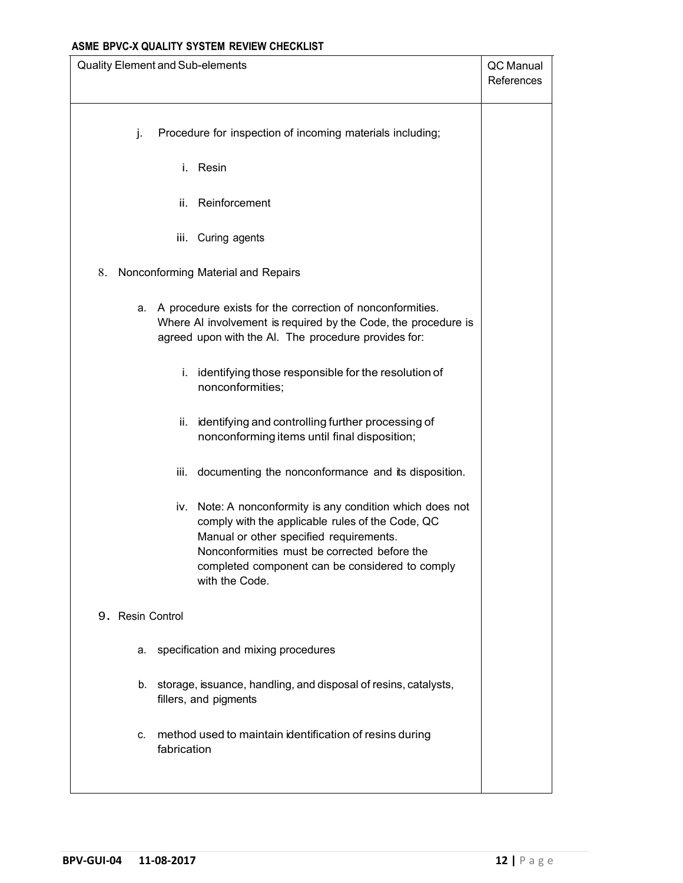| Quality Element and Sub-elements                                                                                                                                                                                           | QC Manual<br>References                         |
|----------------------------------------------------------------------------------------------------------------------------------------------------------------------------------------------------------------------------|-------------------------------------------------|
| Procedure for inspection of incoming materials including;<br>j.                                                                                                                                                            |                                                 |
| i. Resin                                                                                                                                                                                                                   |                                                 |
| Reinforcement<br>ii.                                                                                                                                                                                                       |                                                 |
| iii. Curing agents                                                                                                                                                                                                         |                                                 |
| 8.<br>Nonconforming Material and Repairs                                                                                                                                                                                   |                                                 |
| a. A procedure exists for the correction of nonconformities.<br>Where AI involvement is required by the Code, the procedure is<br>agreed upon with the Al. The procedure provides for:                                     |                                                 |
| i. identifying those responsible for the resolution of<br>nonconformities;                                                                                                                                                 |                                                 |
| identifying and controlling further processing of<br>ii.<br>nonconforming items until final disposition;                                                                                                                   |                                                 |
| iii. documenting the nonconformance and its disposition.                                                                                                                                                                   |                                                 |
| iv. Note: A nonconformity is any condition which does not<br>comply with the applicable rules of the Code, QC<br>Manual or other specified requirements.<br>Nonconformities must be corrected before the<br>with the Code. | completed component can be considered to comply |
| 9. Resin Control                                                                                                                                                                                                           |                                                 |
| a. specification and mixing procedures                                                                                                                                                                                     |                                                 |
| b. storage, issuance, handling, and disposal of resins, catalysts,<br>fillers, and pigments                                                                                                                                |                                                 |
| method used to maintain identification of resins during<br>C.<br>fabrication                                                                                                                                               |                                                 |
|                                                                                                                                                                                                                            |                                                 |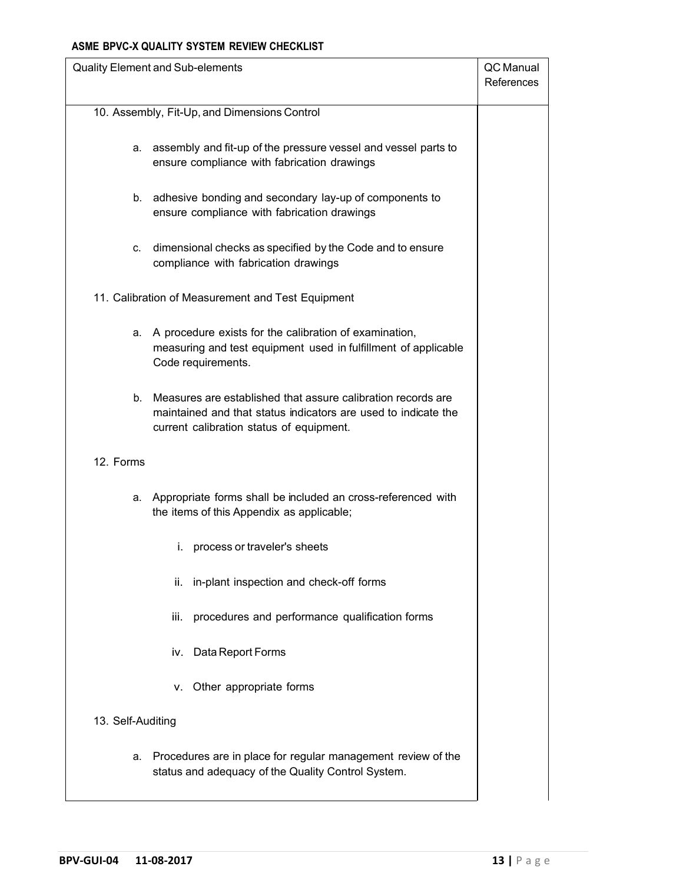| Quality Element and Sub-elements                                                                                                                                                 | QC Manual<br>References |
|----------------------------------------------------------------------------------------------------------------------------------------------------------------------------------|-------------------------|
| 10. Assembly, Fit-Up, and Dimensions Control                                                                                                                                     |                         |
| assembly and fit-up of the pressure vessel and vessel parts to<br>а.<br>ensure compliance with fabrication drawings                                                              |                         |
| adhesive bonding and secondary lay-up of components to<br>b.<br>ensure compliance with fabrication drawings                                                                      |                         |
| dimensional checks as specified by the Code and to ensure<br>C.<br>compliance with fabrication drawings                                                                          |                         |
| 11. Calibration of Measurement and Test Equipment                                                                                                                                |                         |
| A procedure exists for the calibration of examination,<br>а.<br>measuring and test equipment used in fulfillment of applicable<br>Code requirements.                             |                         |
| Measures are established that assure calibration records are<br>b.<br>maintained and that status indicators are used to indicate the<br>current calibration status of equipment. |                         |
| 12. Forms                                                                                                                                                                        |                         |
| a. Appropriate forms shall be included an cross-referenced with<br>the items of this Appendix as applicable;                                                                     |                         |
| i. process or traveler's sheets                                                                                                                                                  |                         |
| in-plant inspection and check-off forms<br>ii.                                                                                                                                   |                         |
| procedures and performance qualification forms<br>iii.                                                                                                                           |                         |
| iv. Data Report Forms                                                                                                                                                            |                         |
| Other appropriate forms<br>v.                                                                                                                                                    |                         |
| 13. Self-Auditing                                                                                                                                                                |                         |
| Procedures are in place for regular management review of the<br>а.<br>status and adequacy of the Quality Control System.                                                         |                         |
|                                                                                                                                                                                  |                         |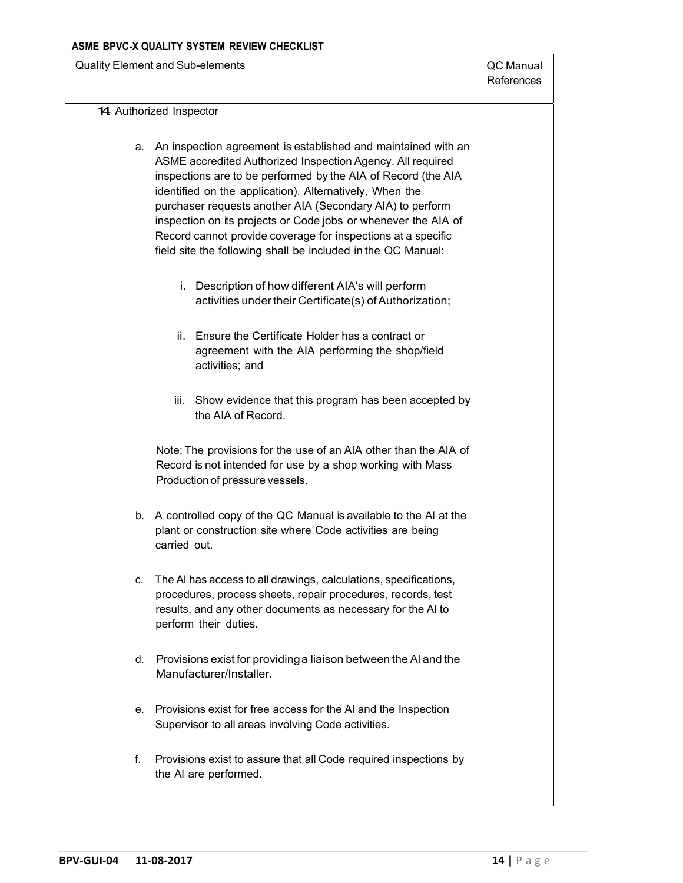| <b>Quality Element and Sub-elements</b>                                                                                                                                                                                                                                                                                                                                                                                                                                                                                   | QC Manual<br>References |
|---------------------------------------------------------------------------------------------------------------------------------------------------------------------------------------------------------------------------------------------------------------------------------------------------------------------------------------------------------------------------------------------------------------------------------------------------------------------------------------------------------------------------|-------------------------|
| 14 Authorized Inspector                                                                                                                                                                                                                                                                                                                                                                                                                                                                                                   |                         |
|                                                                                                                                                                                                                                                                                                                                                                                                                                                                                                                           |                         |
| a. An inspection agreement is established and maintained with an<br>ASME accredited Authorized Inspection Agency. All required<br>inspections are to be performed by the AIA of Record (the AIA<br>identified on the application). Alternatively, When the<br>purchaser requests another AIA (Secondary AIA) to perform<br>inspection on its projects or Code jobs or whenever the AIA of<br>Record cannot provide coverage for inspections at a specific<br>field site the following shall be included in the QC Manual: |                         |
| i. Description of how different AIA's will perform<br>activities under their Certificate(s) of Authorization;                                                                                                                                                                                                                                                                                                                                                                                                             |                         |
| ii. Ensure the Certificate Holder has a contract or<br>agreement with the AIA performing the shop/field<br>activities; and                                                                                                                                                                                                                                                                                                                                                                                                |                         |
| iii. Show evidence that this program has been accepted by<br>the AIA of Record.                                                                                                                                                                                                                                                                                                                                                                                                                                           |                         |
| Note: The provisions for the use of an AIA other than the AIA of<br>Record is not intended for use by a shop working with Mass<br>Production of pressure vessels.                                                                                                                                                                                                                                                                                                                                                         |                         |
| b. A controlled copy of the QC Manual is available to the AI at the<br>plant or construction site where Code activities are being<br>carried out.                                                                                                                                                                                                                                                                                                                                                                         |                         |
| c. The AI has access to all drawings, calculations, specifications,<br>procedures, process sheets, repair procedures, records, test<br>results, and any other documents as necessary for the AI to<br>perform their duties.                                                                                                                                                                                                                                                                                               |                         |
| d. Provisions exist for providing a liaison between the AI and the<br>Manufacturer/Installer.                                                                                                                                                                                                                                                                                                                                                                                                                             |                         |
| e. Provisions exist for free access for the AI and the Inspection<br>Supervisor to all areas involving Code activities.                                                                                                                                                                                                                                                                                                                                                                                                   |                         |
| f.<br>Provisions exist to assure that all Code required inspections by<br>the AI are performed.                                                                                                                                                                                                                                                                                                                                                                                                                           |                         |